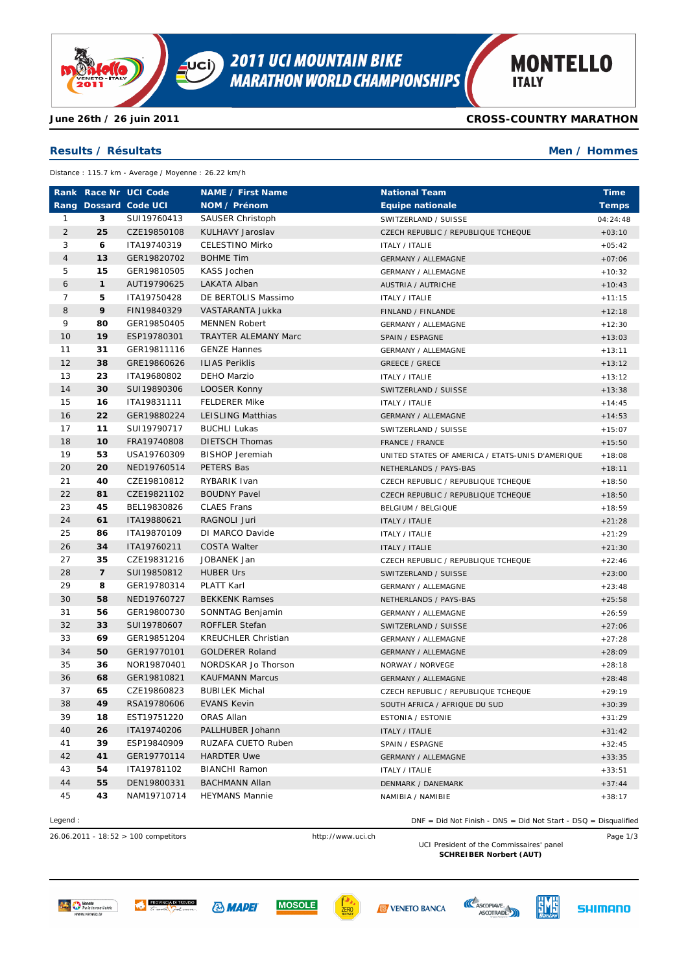

**CROSS-COUNTRY MARATHON**

**Men / Hommes**

## **Results / Résultats**

**June 26th / 26 juin 2011**

Distance : 115.7 km - Average / Moyenne : 26.22 km/h

|                |                          | Rank Race Nr UCI Code | <b>NAME / First Name</b>    | <b>National Team</b>                             | <b>Time</b>  |
|----------------|--------------------------|-----------------------|-----------------------------|--------------------------------------------------|--------------|
|                |                          | Rang Dossard Code UCI | NOM / Prénom                | <b>Equipe nationale</b>                          | <b>Temps</b> |
| 1              | 3                        | SUI19760413           | <b>SAUSER Christoph</b>     | SWITZERLAND / SUISSE                             | 04:24:48     |
| $\overline{2}$ | 25                       | CZE19850108           | KULHAVY Jaroslav            | CZECH REPUBLIC / REPUBLIQUE TCHEQUE              | $+03:10$     |
| 3              | 6                        | ITA19740319           | <b>CELESTINO Mirko</b>      | <b>ITALY / ITALIE</b>                            | $+05:42$     |
| 4              | 13                       | GER19820702           | <b>BOHME Tim</b>            | <b>GERMANY / ALLEMAGNE</b>                       | $+07:06$     |
| 5              | 15                       | GER19810505           | KASS Jochen                 | <b>GERMANY / ALLEMAGNE</b>                       | $+10:32$     |
| 6              | $\mathbf{1}$             | AUT19790625           | LAKATA Alban                | <b>AUSTRIA / AUTRICHE</b>                        | $+10:43$     |
| 7              | 5                        | ITA19750428           | DE BERTOLIS Massimo         | ITALY / ITALIE                                   | $+11:15$     |
| 8              | 9                        | FIN19840329           | VASTARANTA Jukka            | FINLAND / FINLANDE                               | $+12:18$     |
| 9              | 80                       | GER19850405           | <b>MENNEN Robert</b>        | <b>GERMANY / ALLEMAGNE</b>                       | $+12:30$     |
| 10             | 19                       | ESP19780301           | <b>TRAYTER ALEMANY Marc</b> | SPAIN / ESPAGNE                                  | $+13:03$     |
| 11             | 31                       | GER19811116           | <b>GENZE Hannes</b>         | <b>GERMANY / ALLEMAGNE</b>                       | $+13:11$     |
| 12             | 38                       | GRE19860626           | <b>ILIAS Periklis</b>       | <b>GREECE / GRECE</b>                            | $+13:12$     |
| 13             | 23                       | ITA19680802           | DEHO Marzio                 | <b>ITALY / ITALIE</b>                            | $+13:12$     |
| 14             | 30                       | SUI19890306           | LOOSER Konny                | SWITZERLAND / SUISSE                             | $+13:38$     |
| 15             | 16                       | ITA19831111           | <b>FELDERER Mike</b>        | <b>ITALY / ITALIE</b>                            | $+14:45$     |
| 16             | 22                       | GER19880224           | LEISLING Matthias           | <b>GERMANY / ALLEMAGNE</b>                       | $+14:53$     |
| 17             | 11                       | SUI19790717           | <b>BUCHLI Lukas</b>         | SWITZERLAND / SUISSE                             | $+15:07$     |
| 18             | 10                       | FRA19740808           | <b>DIETSCH Thomas</b>       | FRANCE / FRANCE                                  | $+15:50$     |
| 19             | 53                       | USA19760309           | <b>BISHOP Jeremiah</b>      | UNITED STATES OF AMERICA / ETATS-UNIS D'AMERIQUE | $+18:08$     |
| 20             | 20                       | NED19760514           | PETERS Bas                  | NETHERLANDS / PAYS-BAS                           | $+18:11$     |
| 21             | 40                       | CZE19810812           | RYBARIK Ivan                | CZECH REPUBLIC / REPUBLIQUE TCHEQUE              | $+18:50$     |
| 22             | 81                       | CZE19821102           | <b>BOUDNY Pavel</b>         | CZECH REPUBLIC / REPUBLIQUE TCHEQUE              | $+18:50$     |
| 23             | 45                       | BEL19830826           | <b>CLAES Frans</b>          | BELGIUM / BELGIQUE                               | $+18:59$     |
| 24             | 61                       | ITA19880621           | RAGNOLI Juri                | <b>ITALY / ITALIE</b>                            | $+21:28$     |
| 25             | 86                       | ITA19870109           | DI MARCO Davide             | <b>ITALY / ITALIE</b>                            | $+21:29$     |
| 26             | 34                       | ITA19760211           | <b>COSTA Walter</b>         | <b>ITALY / ITALIE</b>                            | $+21:30$     |
| 27             | 35                       | CZE19831216           | JOBANEK Jan                 | CZECH REPUBLIC / REPUBLIQUE TCHEQUE              | $+22:46$     |
| 28             | $\overline{\phantom{a}}$ | SUI19850812           | <b>HUBER Urs</b>            | SWITZERLAND / SUISSE                             | $+23:00$     |
| 29             | 8                        | GER19780314           | PLATT Karl                  | GERMANY / ALLEMAGNE                              | $+23:48$     |
| 30             | 58                       | NED19760727           | <b>BEKKENK Ramses</b>       | NETHERLANDS / PAYS-BAS                           | $+25:58$     |
| 31             | 56                       | GER19800730           | SONNTAG Benjamin            | <b>GERMANY / ALLEMAGNE</b>                       | $+26:59$     |
| 32             | 33                       | SUI19780607           | ROFFLER Stefan              | SWITZERLAND / SUISSE                             | $+27:06$     |
| 33             | 69                       | GER19851204           | <b>KREUCHLER Christian</b>  | <b>GERMANY / ALLEMAGNE</b>                       | $+27:28$     |
| 34             | 50                       | GER19770101           | <b>GOLDERER Roland</b>      | <b>GERMANY / ALLEMAGNE</b>                       | $+28:09$     |
| 35             | 36                       | NOR19870401           | NORDSKAR Jo Thorson         | NORWAY / NORVEGE                                 | $+28:18$     |
| 36             | 68                       | GER19810821           | <b>KAUFMANN Marcus</b>      | <b>GERMANY / ALLEMAGNE</b>                       | $+28:48$     |
| 37             | 65                       | CZE19860823           | <b>BUBILEK Michal</b>       | CZECH REPUBLIC / REPUBLIQUE TCHEQUE              | $+29:19$     |
| 38             | 49                       | RSA19780606           | <b>EVANS Kevin</b>          | SOUTH AFRICA / AFRIQUE DU SUD                    | $+30:39$     |
| 39             | 18                       | EST19751220           | ORAS Allan                  | <b>ESTONIA / ESTONIE</b>                         | $+31:29$     |
| 40             | 26                       | ITA19740206           | PALLHUBER Johann            | <b>ITALY / ITALIE</b>                            | $+31:42$     |
| 41             | 39                       | ESP19840909           | RUZAFA CUETO Ruben          | SPAIN / ESPAGNE                                  | $+32:45$     |
| 42             | 41                       | GER19770114           | <b>HARDTER Uwe</b>          | <b>GERMANY / ALLEMAGNE</b>                       | $+33:35$     |
| 43             | 54                       | ITA19781102           | <b>BIANCHI Ramon</b>        | <b>ITALY / ITALIE</b>                            | $+33:51$     |
| 44             | 55                       | DEN19800331           | <b>BACHMANN Allan</b>       | DENMARK / DANEMARK                               | $+37:44$     |
| 45             | 43                       | NAM19710714           | <b>HEYMANS Mannie</b>       | NAMIBIA / NAMIBIE                                | $+38:17$     |

## Legend : DNF = Did Not Finish - DNS = Did Not Start - DSQ = Disqualified

26.06.2011 - 18:52 > 100 competitors http://www.uci.ch Page 1/3 UCI President of the Commissaires' panel

**SCHREIBER Norbert (AUT)**





**MOSOLE** 







**SHIMANO**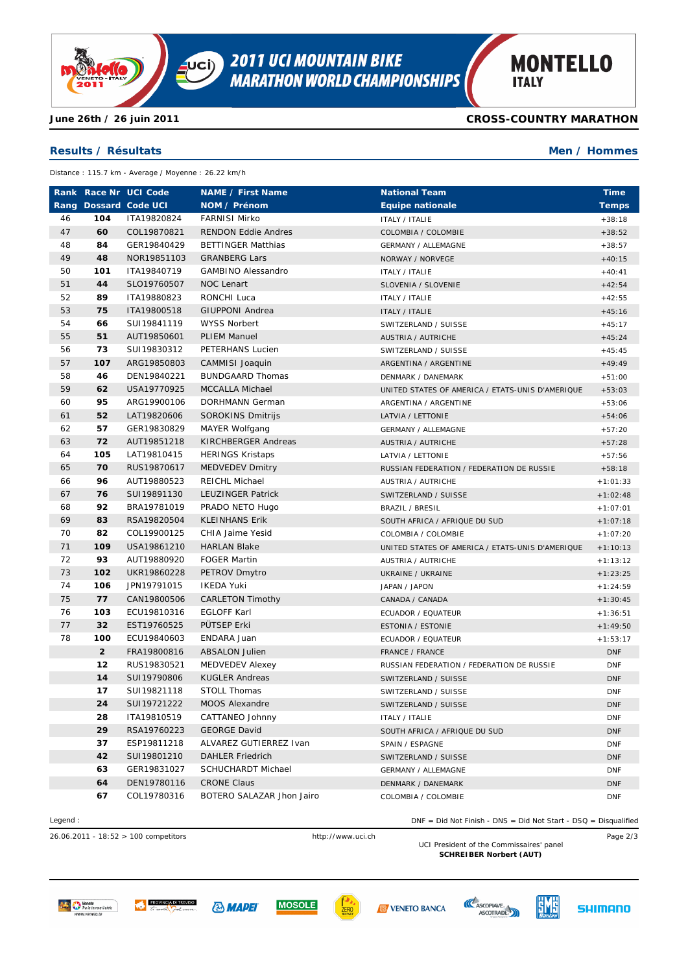

**CROSS-COUNTRY MARATHON**

**Men / Hommes**

# **Results / Résultats**

**June 26th / 26 juin 2011**

Distance : 115.7 km - Average / Moyenne : 26.22 km/h

|    |                | Rank Race Nr UCI Code | <b>NAME / First Name</b>   | <b>National Team</b>                             | <b>Time</b>  |
|----|----------------|-----------------------|----------------------------|--------------------------------------------------|--------------|
|    |                | Rang Dossard Code UCI | NOM / Prénom               | <b>Equipe nationale</b>                          | <b>Temps</b> |
| 46 | 104            | ITA19820824           | <b>FARNISI Mirko</b>       | <b>ITALY / ITALIE</b>                            | $+38:18$     |
| 47 | 60             | COL19870821           | <b>RENDON Eddie Andres</b> | COLOMBIA / COLOMBIE                              | $+38:52$     |
| 48 | 84             | GER19840429           | <b>BETTINGER Matthias</b>  | <b>GERMANY / ALLEMAGNE</b>                       | $+38:57$     |
| 49 | 48             | NOR19851103           | <b>GRANBERG Lars</b>       | NORWAY / NORVEGE                                 | $+40:15$     |
| 50 | 101            | ITA19840719           | <b>GAMBINO Alessandro</b>  | <b>ITALY / ITALIE</b>                            | $+40:41$     |
| 51 | 44             | SLO19760507           | NOC Lenart                 | SLOVENIA / SLOVENIE                              | $+42:54$     |
| 52 | 89             | ITA19880823           | RONCHI Luca                | <b>ITALY / ITALIE</b>                            | $+42:55$     |
| 53 | 75             | ITA19800518           | <b>GIUPPONI Andrea</b>     | <b>ITALY / ITALIE</b>                            | $+45:16$     |
| 54 | 66             | SUI19841119           | <b>WYSS Norbert</b>        | SWITZERLAND / SUISSE                             | $+45:17$     |
| 55 | 51             | AUT19850601           | <b>PLIEM Manuel</b>        | <b>AUSTRIA / AUTRICHE</b>                        | $+45:24$     |
| 56 | 73             | SUI19830312           | PETERHANS Lucien           | SWITZERLAND / SUISSE                             | $+45:45$     |
| 57 | 107            | ARG19850803           | CAMMISI Joaquin            | ARGENTINA / ARGENTINE                            | $+49:49$     |
| 58 | 46             | DEN19840221           | <b>BUNDGAARD Thomas</b>    | DENMARK / DANEMARK                               | $+51:00$     |
| 59 | 62             | USA19770925           | <b>MCCALLA Michael</b>     | UNITED STATES OF AMERICA / ETATS-UNIS D'AMERIQUE | $+53:03$     |
| 60 | 95             | ARG19900106           | DORHMANN German            | ARGENTINA / ARGENTINE                            | $+53:06$     |
| 61 | 52             | LAT19820606           | SOROKINS Dmitrijs          | LATVIA / LETTONIE                                | $+54:06$     |
| 62 | 57             | GER19830829           | MAYER Wolfgang             | <b>GERMANY / ALLEMAGNE</b>                       | $+57:20$     |
| 63 | 72             | AUT19851218           | <b>KIRCHBERGER Andreas</b> | <b>AUSTRIA / AUTRICHE</b>                        | $+57:28$     |
| 64 | 105            | LAT19810415           | <b>HERINGS Kristaps</b>    | LATVIA / LETTONIE                                | $+57:56$     |
| 65 | 70             | RUS19870617           | <b>MEDVEDEV Dmitry</b>     | RUSSIAN FEDERATION / FEDERATION DE RUSSIE        | $+58:18$     |
| 66 | 96             | AUT19880523           | <b>REICHL Michael</b>      | AUSTRIA / AUTRICHE                               | $+1:01:33$   |
| 67 | 76             | SUI19891130           | LEUZINGER Patrick          | SWITZERLAND / SUISSE                             | $+1:02:48$   |
| 68 | 92             | BRA19781019           | PRADO NETO Hugo            | BRAZIL / BRESIL                                  | $+1:07:01$   |
| 69 | 83             | RSA19820504           | <b>KLEINHANS Erik</b>      | SOUTH AFRICA / AFRIQUE DU SUD                    | $+1:07:18$   |
| 70 | 82             | COL19900125           | CHIA Jaime Yesid           | COLOMBIA / COLOMBIE                              | $+1:07:20$   |
| 71 | 109            | USA19861210           | <b>HARLAN Blake</b>        | UNITED STATES OF AMERICA / ETATS-UNIS D'AMERIQUE | $+1:10:13$   |
| 72 | 93             | AUT19880920           | <b>FOGER Martin</b>        | <b>AUSTRIA / AUTRICHE</b>                        | $+1:13:12$   |
| 73 | 102            | UKR19860228           | PETROV Dmytro              | UKRAINE / UKRAINE                                | $+1:23:25$   |
| 74 | 106            | JPN19791015           | <b>IKEDA Yuki</b>          | JAPAN / JAPON                                    | $+1:24:59$   |
| 75 | 77             | CAN19800506           | <b>CARLETON Timothy</b>    | CANADA / CANADA                                  | $+1:30:45$   |
| 76 | 103            | ECU19810316           | <b>EGLOFF Karl</b>         | ECUADOR / EQUATEUR                               | $+1:36:51$   |
| 77 | 32             | EST19760525           | PÜTSEP Erki                | <b>ESTONIA / ESTONIE</b>                         | $+1:49:50$   |
| 78 | 100            | ECU19840603           | ENDARA Juan                | ECUADOR / EQUATEUR                               | $+1:53:17$   |
|    | $\overline{2}$ | FRA19800816           | <b>ABSALON Julien</b>      | FRANCE / FRANCE                                  | <b>DNF</b>   |
|    | 12             | RUS19830521           | <b>MEDVEDEV Alexey</b>     | RUSSIAN FEDERATION / FEDERATION DE RUSSIE        | <b>DNF</b>   |
|    | 14             | SUI19790806           | <b>KUGLER Andreas</b>      | SWITZERLAND / SUISSE                             | <b>DNF</b>   |
|    | 17             | SUI19821118           | <b>STOLL Thomas</b>        | SWITZERLAND / SUISSE                             | <b>DNF</b>   |
|    | 24             | SUI19721222           | MOOS Alexandre             | SWITZERLAND / SUISSE                             | <b>DNF</b>   |
|    | 28             | ITA19810519           | CATTANEO Johnny            | ITALY / ITALIE                                   | <b>DNF</b>   |
|    | 29             | RSA19760223           | <b>GEORGE David</b>        | SOUTH AFRICA / AFRIQUE DU SUD                    | <b>DNF</b>   |
|    | 37             | ESP19811218           | ALVAREZ GUTIERREZ Ivan     | SPAIN / ESPAGNE                                  | <b>DNF</b>   |
|    | 42             | SUI19801210           | <b>DAHLER Friedrich</b>    | SWITZERLAND / SUISSE                             | <b>DNF</b>   |
|    | 63             | GER19831027           | SCHUCHARDT Michael         | <b>GERMANY / ALLEMAGNE</b>                       | <b>DNF</b>   |
|    | 64             | DEN19780116           | <b>CRONE Claus</b>         | DENMARK / DANEMARK                               | <b>DNF</b>   |
|    | 67             | COL19780316           | BOTERO SALAZAR Jhon Jairo  | COLOMBIA / COLOMBIE                              | <b>DNF</b>   |

26.06.2011 - 18:52 > 100 competitors http://www.uci.ch Page 2/3

Legend : DNF = Did Not Finish - DNS = Did Not Start - DSQ = Disqualified

UCI President of the Commissaires' panel **SCHREIBER Norbert (AUT)**













**SHIMANO**